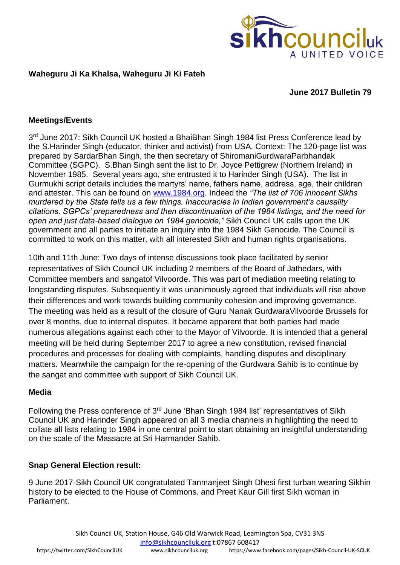

### **Waheguru Ji Ka Khalsa, Waheguru Ji Ki Fateh**

#### **June 2017 Bulletin 79**

#### **Meetings/Events**

3<sup>rd</sup> June 2017: Sikh Council UK hosted a BhaiBhan Singh 1984 list Press Conference lead by the S.Harinder Singh (educator, thinker and activist) from USA. Context: The 120-page list was prepared by SardarBhan Singh, the then secretary of ShiromaniGurdwaraParbhandak Committee (SGPC). S.Bhan Singh sent the list to Dr. Joyce Pettigrew (Northern Ireland) in November 1985. Several years ago, she entrusted it to Harinder Singh (USA). The list in Gurmukhi script details includes the martyrs' name, fathers name, address, age, their children and attester. This can be found on [www.1984.org.](http://www.1984.org/) Indeed the *"The list of 706 innocent Sikhs murdered by the State tells us a few things. Inaccuracies in Indian government's causality citations, SGPCs' preparedness and then discontinuation of the 1984 listings, and the need for open and just data-based dialogue on 1984 genocide,"* Sikh Council UK calls upon the UK government and all parties to initiate an inquiry into the 1984 Sikh Genocide. The Council is committed to work on this matter, with all interested Sikh and human rights organisations.

10th and 11th June: Two days of intense discussions took place facilitated by senior representatives of Sikh Council UK including 2 members of the Board of Jathedars, with Committee members and sangatof Vilvoorde. This was part of mediation meeting relating to longstanding disputes. Subsequently it was unanimously agreed that individuals will rise above their differences and work towards building community cohesion and improving governance. The meeting was held as a result of the closure of Guru Nanak GurdwaraVilvoorde Brussels for over 8 months, due to internal disputes. It became apparent that both parties had made numerous allegations against each other to the Mayor of Vilvoorde. It is intended that a general meeting will be held during September 2017 to agree a new constitution, revised financial procedures and processes for dealing with complaints, handling disputes and disciplinary matters. Meanwhile the campaign for the re-opening of the Gurdwara Sahib is to continue by the sangat and committee with support of Sikh Council UK.

#### **Media**

Following the Press conference of 3rd June 'Bhan Singh 1984 list' representatives of Sikh Council UK and Harinder Singh appeared on all 3 media channels in highlighting the need to collate all lists relating to 1984 in one central point to start obtaining an insightful understanding on the scale of the Massacre at Sri Harmander Sahib.

#### **Snap General Election result:**

9 June 2017-Sikh Council UK congratulated Tanmanjeet Singh Dhesi first turban wearing Sikhin history to be elected to the House of Commons. and Preet Kaur Gill first Sikh woman in Parliament.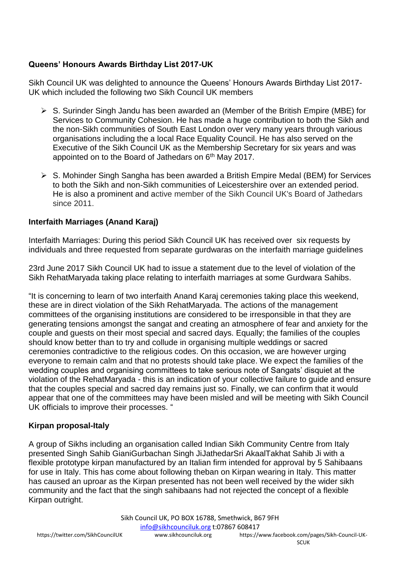# **Queens' Honours Awards Birthday List 2017-UK**

Sikh Council UK was delighted to announce the Queens' Honours Awards Birthday List 2017- UK which included the following two Sikh Council UK members

- ➢ S. Surinder Singh Jandu has been awarded an (Member of the British Empire (MBE) for Services to Community Cohesion. He has made a huge contribution to both the Sikh and the non-Sikh communities of South East London over very many years through various organisations including the a local Race Equality Council. He has also served on the Executive of the Sikh Council UK as the Membership Secretary for six years and was appointed on to the Board of Jathedars on 6<sup>th</sup> May 2017.
- ➢ S. Mohinder Singh Sangha has been awarded a British Empire Medal (BEM) for Services to both the Sikh and non-Sikh communities of Leicestershire over an extended period. He is also a prominent and active member of the Sikh Council UK's Board of Jathedars since 2011.

## **Interfaith Marriages (Anand Karaj)**

Interfaith Marriages: During this period Sikh Council UK has received over six requests by individuals and three requested from separate gurdwaras on the interfaith marriage guidelines

23rd June 2017 Sikh Council UK had to issue a statement due to the level of violation of the Sikh RehatMaryada taking place relating to interfaith marriages at some Gurdwara Sahibs.

"It is concerning to learn of two interfaith Anand Karaj ceremonies taking place this weekend, these are in direct violation of the Sikh RehatMaryada. The actions of the management committees of the organising institutions are considered to be irresponsible in that they are generating tensions amongst the sangat and creating an atmosphere of fear and anxiety for the couple and guests on their most special and sacred days. Equally; the families of the couples should know better than to try and collude in organising multiple weddings or sacred ceremonies contradictive to the religious codes. On this occasion, we are however urging everyone to remain calm and that no protests should take place. We expect the families of the wedding couples and organising committees to take serious note of Sangats' disquiet at the violation of the RehatMaryada - this is an indication of your collective failure to guide and ensure that the couples special and sacred day remains just so. Finally, we can confirm that it would appear that one of the committees may have been misled and will be meeting with Sikh Council UK officials to improve their processes. "

## **Kirpan proposal-Italy**

A group of Sikhs including an organisation called Indian Sikh Community Centre from Italy presented Singh Sahib GianiGurbachan Singh JiJathedarSri AkaalTakhat Sahib Ji with a flexible prototype kirpan manufactured by an Italian firm intended for approval by 5 Sahibaans for use in Italy. This has come about following theban on Kirpan wearing in Italy. This matter has caused an uproar as the Kirpan presented has not been well received by the wider sikh community and the fact that the singh sahibaans had not rejected the concept of a flexible Kirpan outright.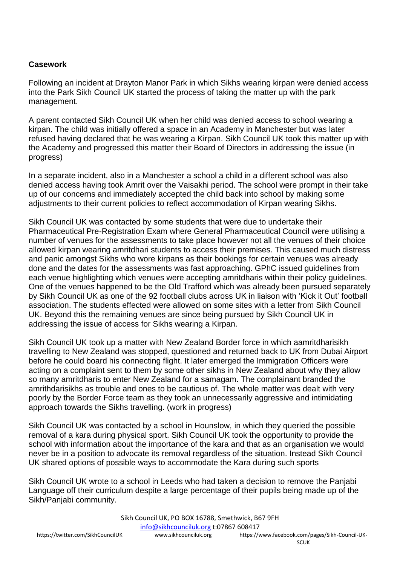### **Casework**

Following an incident at Drayton Manor Park in which Sikhs wearing kirpan were denied access into the Park Sikh Council UK started the process of taking the matter up with the park management.

A parent contacted Sikh Council UK when her child was denied access to school wearing a kirpan. The child was initially offered a space in an Academy in Manchester but was later refused having declared that he was wearing a Kirpan. Sikh Council UK took this matter up with the Academy and progressed this matter their Board of Directors in addressing the issue (in progress)

In a separate incident, also in a Manchester a school a child in a different school was also denied access having took Amrit over the Vaisakhi period. The school were prompt in their take up of our concerns and immediately accepted the child back into school by making some adjustments to their current policies to reflect accommodation of Kirpan wearing Sikhs.

Sikh Council UK was contacted by some students that were due to undertake their Pharmaceutical Pre-Registration Exam where General Pharmaceutical Council were utilising a number of venues for the assessments to take place however not all the venues of their choice allowed kirpan wearing amritdhari students to access their premises. This caused much distress and panic amongst Sikhs who wore kirpans as their bookings for certain venues was already done and the dates for the assessments was fast approaching. GPhC issued guidelines from each venue highlighting which venues were accepting amritdharis within their policy guidelines. One of the venues happened to be the Old Trafford which was already been pursued separately by Sikh Council UK as one of the 92 football clubs across UK in liaison with 'Kick it Out' football association. The students effected were allowed on some sites with a letter from Sikh Council UK. Beyond this the remaining venues are since being pursued by Sikh Council UK in addressing the issue of access for Sikhs wearing a Kirpan.

Sikh Council UK took up a matter with New Zealand Border force in which aamritdharisikh travelling to New Zealand was stopped, questioned and returned back to UK from Dubai Airport before he could board his connecting flight. It later emerged the Immigration Officers were acting on a complaint sent to them by some other sikhs in New Zealand about why they allow so many amritdharis to enter New Zealand for a samagam. The complainant branded the amrithdarisikhs as trouble and ones to be cautious of. The whole matter was dealt with very poorly by the Border Force team as they took an unnecessarily aggressive and intimidating approach towards the Sikhs travelling. (work in progress)

Sikh Council UK was contacted by a school in Hounslow, in which they queried the possible removal of a kara during physical sport. Sikh Council UK took the opportunity to provide the school with information about the importance of the kara and that as an organisation we would never be in a position to advocate its removal regardless of the situation. Instead Sikh Council UK shared options of possible ways to accommodate the Kara during such sports

Sikh Council UK wrote to a school in Leeds who had taken a decision to remove the Panjabi Language off their curriculum despite a large percentage of their pupils being made up of the Sikh/Panjabi community.